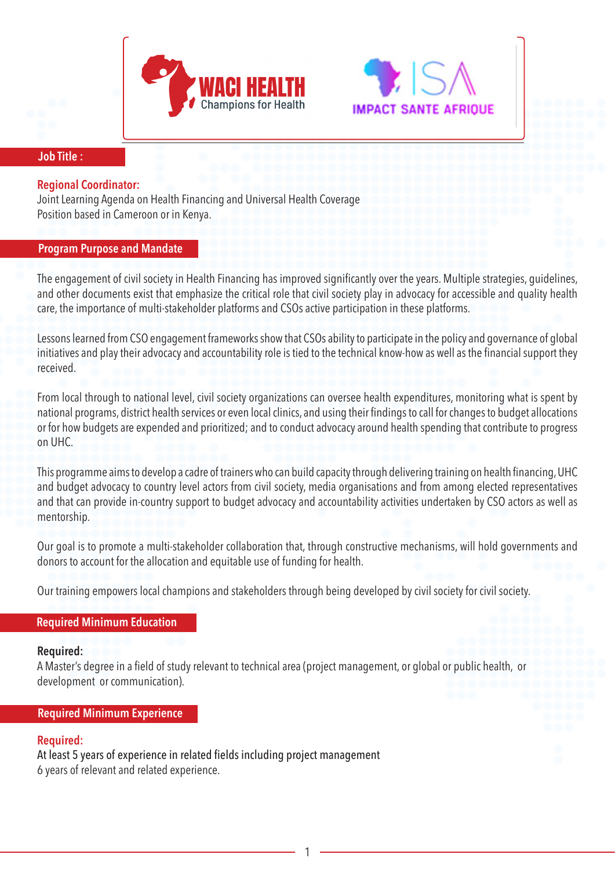



#### **Job Title :**

### **Regional Coordinator:**

Joint Learning Agenda on Health Financing and Universal Health Coverage Position based in Cameroon or in Kenya.

### **Program Purpose and Mandate**

The engagement of civil society in Health Financing has improved significantly over the years. Multiple strategies, guidelines, and other documents exist that emphasize the critical role that civil society play in advocacy for accessible and quality health care, the importance of multi-stakeholder platforms and CSOs active participation in these platforms.

Lessons learned from CSO engagement frameworks show that CSOs ability to participate in the policy and governance of global initiatives and play their advocacy and accountability role is tied to the technical know-how as well as the financial support they received.

From local through to national level, civil society organizations can oversee health expenditures, monitoring what is spent by national programs, district health services or even local clinics, and using their findings to call for changes to budget allocations or for how budgets are expended and prioritized; and to conduct advocacy around health spending that contribute to progress on UHC.

This programme aims to develop a cadre of trainers who can build capacity through delivering training on health financing, UHC and budget advocacy to country level actors from civil society, media organisations and from among elected representatives and that can provide in-country support to budget advocacy and accountability activities undertaken by CSO actors as well as mentorship.

Our goal is to promote a multi-stakeholder collaboration that, through constructive mechanisms, will hold governments and donors to account for the allocation and equitable use of funding for health.

Our training empowers local champions and stakeholders through being developed by civil society for civil society.

# **Required Minimum Education**

#### **Required:**

A Master's degree in a field of study relevant to technical area (project management, or global or public health, or development or communication).

# **Required Minimum Experience**

# **Required:**

At least 5 years of experience in related fields including project management 6 years of relevant and related experience.